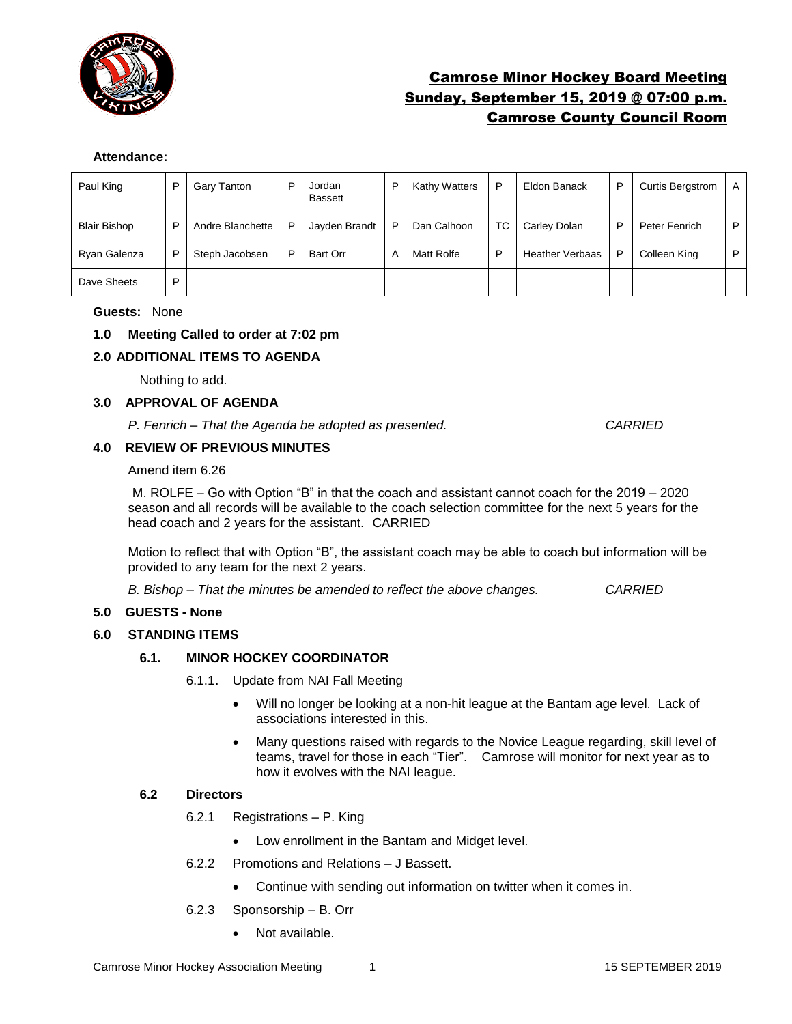

# Camrose Minor Hockey Board Meeting Sunday, September 15, 2019 @ 07:00 p.m. Camrose County Council Room

### **Attendance:**

| Paul King           | P | Gary Tanton      | P | Jordan<br><b>Bassett</b> | P | <b>Kathy Watters</b> | P  | Eldon Banack           | P | <b>Curtis Bergstrom</b> | A |
|---------------------|---|------------------|---|--------------------------|---|----------------------|----|------------------------|---|-------------------------|---|
| <b>Blair Bishop</b> | P | Andre Blanchette | P | Jayden Brandt            | P | Dan Calhoon          | ТC | Carley Dolan           | P | Peter Fenrich           | P |
| Ryan Galenza        | P | Steph Jacobsen   | P | Bart Orr                 | А | Matt Rolfe           | P  | <b>Heather Verbaas</b> | P | Colleen King            | P |
| Dave Sheets         | P |                  |   |                          |   |                      |    |                        |   |                         |   |

### **Guests:** None

# **1.0 Meeting Called to order at 7:02 pm**

### **2.0 ADDITIONAL ITEMS TO AGENDA**

Nothing to add.

### **3.0 APPROVAL OF AGENDA**

*P. Fenrich – That the Agenda be adopted as presented. CARRIED*

# **4.0 REVIEW OF PREVIOUS MINUTES**

Amend item 6.26

M. ROLFE – Go with Option "B" in that the coach and assistant cannot coach for the 2019 – 2020 season and all records will be available to the coach selection committee for the next 5 years for the head coach and 2 years for the assistant. CARRIED

Motion to reflect that with Option "B", the assistant coach may be able to coach but information will be provided to any team for the next 2 years.

*B. Bishop – That the minutes be amended to reflect the above changes. CARRIED*

### **5.0 GUESTS - None**

### **6.0 STANDING ITEMS**

### **6.1. MINOR HOCKEY COORDINATOR**

- 6.1.1**.** Update from NAI Fall Meeting
	- Will no longer be looking at a non-hit league at the Bantam age level. Lack of associations interested in this.
	- Many questions raised with regards to the Novice League regarding, skill level of teams, travel for those in each "Tier". Camrose will monitor for next year as to how it evolves with the NAI league.

### **6.2 Directors**

- 6.2.1 Registrations P. King
	- Low enrollment in the Bantam and Midget level.
- 6.2.2 Promotions and Relations J Bassett.
	- Continue with sending out information on twitter when it comes in.
- 6.2.3 Sponsorship B. Orr
	- Not available.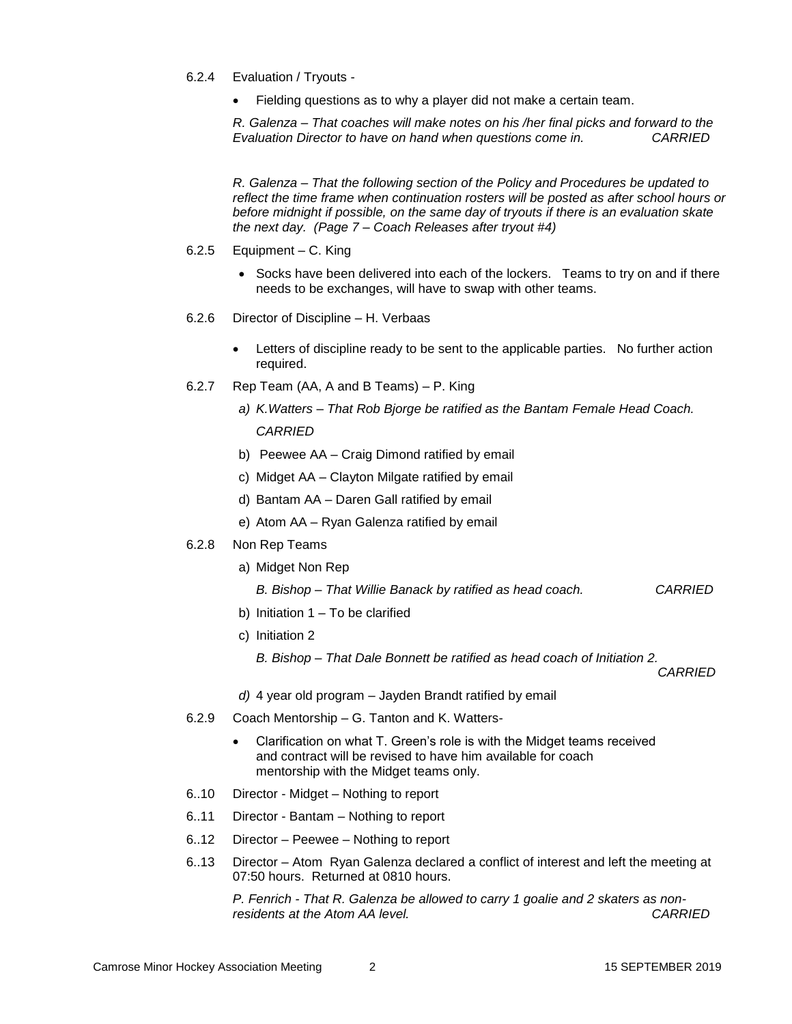- 6.2.4 Evaluation / Tryouts
	- Fielding questions as to why a player did not make a certain team.

*R. Galenza – That coaches will make notes on his /her final picks and forward to the Evaluation Director to have on hand when questions come in. CARRIED*

*R. Galenza – That the following section of the Policy and Procedures be updated to reflect the time frame when continuation rosters will be posted as after school hours or before midnight if possible, on the same day of tryouts if there is an evaluation skate the next day. (Page 7 – Coach Releases after tryout #4)*

- 6.2.5 Equipment C. King
	- Socks have been delivered into each of the lockers. Teams to try on and if there needs to be exchanges, will have to swap with other teams.
- 6.2.6 Director of Discipline H. Verbaas
	- Letters of discipline ready to be sent to the applicable parties. No further action required.
- 6.2.7 Rep Team (AA, A and B Teams) P. King
	- *a) K.Watters – That Rob Bjorge be ratified as the Bantam Female Head Coach. CARRIED*
	- b) Peewee AA Craig Dimond ratified by email
	- c) Midget AA Clayton Milgate ratified by email
	- d) Bantam AA Daren Gall ratified by email
	- e) Atom AA Ryan Galenza ratified by email
- 6.2.8 Non Rep Teams
	- a) Midget Non Rep

*B. Bishop – That Willie Banack by ratified as head coach. CARRIED*

- b) Initiation  $1 To$  be clarified
- c) Initiation 2
	- *B. Bishop – That Dale Bonnett be ratified as head coach of Initiation 2.*

*CARRIED*

- *d)* 4 year old program Jayden Brandt ratified by email
- 6.2.9 Coach Mentorship G. Tanton and K. Watters-
	- Clarification on what T. Green's role is with the Midget teams received and contract will be revised to have him available for coach mentorship with the Midget teams only.
- 6..10 Director Midget Nothing to report
- 6..11 Director Bantam Nothing to report
- 6..12 Director Peewee Nothing to report
- 6..13 Director Atom Ryan Galenza declared a conflict of interest and left the meeting at 07:50 hours. Returned at 0810 hours.

*P. Fenrich - That R. Galenza be allowed to carry 1 goalie and 2 skaters as nonresidents at the Atom AA level. CARRIED*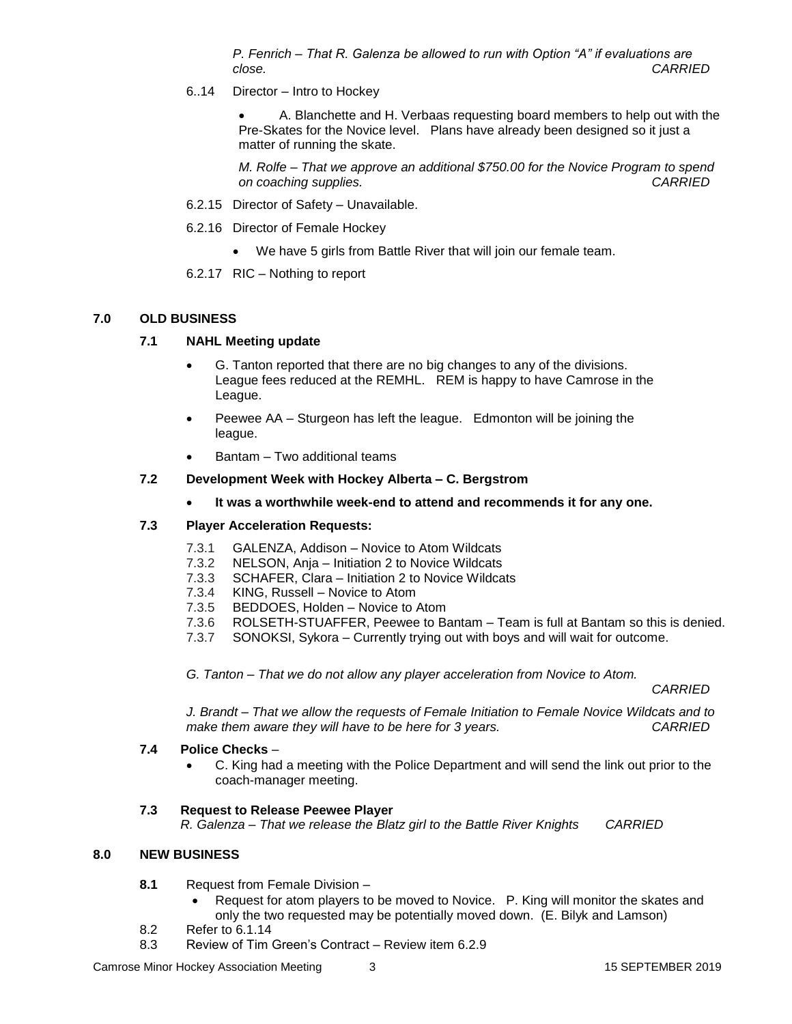*P. Fenrich – That R. Galenza be allowed to run with Option "A" if evaluations are close. CARRIED*

6..14 Director – Intro to Hockey

 A. Blanchette and H. Verbaas requesting board members to help out with the Pre-Skates for the Novice level. Plans have already been designed so it just a matter of running the skate.

*M. Rolfe – That we approve an additional \$750.00 for the Novice Program to spend on coaching supplies. CARRIED*

- 6.2.15 Director of Safety Unavailable.
- 6.2.16 Director of Female Hockey
	- We have 5 girls from Battle River that will join our female team.
- 6.2.17 RIC Nothing to report

#### **7.0 OLD BUSINESS**

#### **7.1 NAHL Meeting update**

- G. Tanton reported that there are no big changes to any of the divisions. League fees reduced at the REMHL. REM is happy to have Camrose in the League.
- Peewee AA Sturgeon has left the league. Edmonton will be joining the league.
- Bantam Two additional teams

#### **7.2 Development Week with Hockey Alberta – C. Bergstrom**

**It was a worthwhile week-end to attend and recommends it for any one.** 

#### **7.3 Player Acceleration Requests:**

- 7.3.1 GALENZA, Addison Novice to Atom Wildcats
- 7.3.2 NELSON, Anja Initiation 2 to Novice Wildcats
- 7.3.3 SCHAFER, Clara Initiation 2 to Novice Wildcats
- 7.3.4 KING, Russell Novice to Atom
- 7.3.5 BEDDOES, Holden Novice to Atom
- 7.3.6 ROLSETH-STUAFFER, Peewee to Bantam Team is full at Bantam so this is denied.
- 7.3.7 SONOKSI, Sykora Currently trying out with boys and will wait for outcome.

*G. Tanton – That we do not allow any player acceleration from Novice to Atom.* 

*CARRIED*

*J. Brandt – That we allow the requests of Female Initiation to Female Novice Wildcats and to make them aware they will have to be here for 3 years. CARRIED*

#### **7.4 Police Checks** –

 C. King had a meeting with the Police Department and will send the link out prior to the coach-manager meeting.

### **7.3 Request to Release Peewee Player**

*R. Galenza – That we release the Blatz girl to the Battle River Knights CARRIED*

### **8.0 NEW BUSINESS**

- **8.1** Request from Female Division
	- Request for atom players to be moved to Novice. P. King will monitor the skates and only the two requested may be potentially moved down. (E. Bilyk and Lamson)
- 8.2 Refer to 6.1.14
- 8.3 Review of Tim Green's Contract Review item 6.2.9